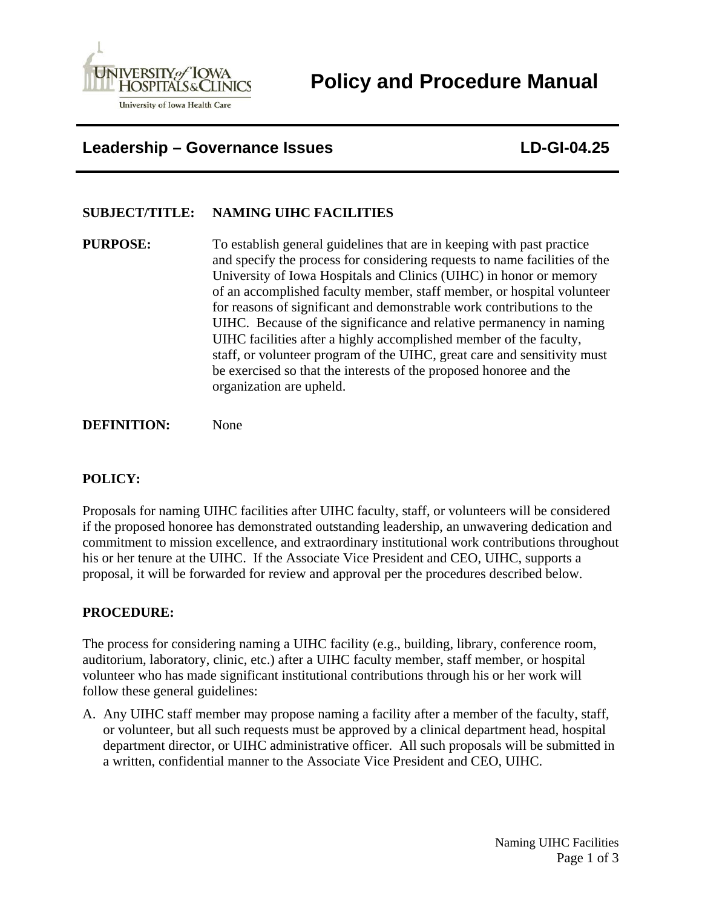

**Policy and Procedure Manual** 

**Leadership – Governance Issues LD-GI-04.25** 

# **SUBJECT/TITLE: NAMING UIHC FACILITIES**

**PURPOSE:** To establish general guidelines that are in keeping with past practice and specify the process for considering requests to name facilities of the University of Iowa Hospitals and Clinics (UIHC) in honor or memory of an accomplished faculty member, staff member, or hospital volunteer for reasons of significant and demonstrable work contributions to the UIHC. Because of the significance and relative permanency in naming UIHC facilities after a highly accomplished member of the faculty, staff, or volunteer program of the UIHC, great care and sensitivity must be exercised so that the interests of the proposed honoree and the organization are upheld.

**DEFINITION:** None

## **POLICY:**

Proposals for naming UIHC facilities after UIHC faculty, staff, or volunteers will be considered if the proposed honoree has demonstrated outstanding leadership, an unwavering dedication and commitment to mission excellence, and extraordinary institutional work contributions throughout his or her tenure at the UIHC. If the Associate Vice President and CEO, UIHC, supports a proposal, it will be forwarded for review and approval per the procedures described below.

### **PROCEDURE:**

The process for considering naming a UIHC facility (e.g., building, library, conference room, auditorium, laboratory, clinic, etc.) after a UIHC faculty member, staff member, or hospital volunteer who has made significant institutional contributions through his or her work will follow these general guidelines:

A. Any UIHC staff member may propose naming a facility after a member of the faculty, staff, or volunteer, but all such requests must be approved by a clinical department head, hospital department director, or UIHC administrative officer. All such proposals will be submitted in a written, confidential manner to the Associate Vice President and CEO, UIHC.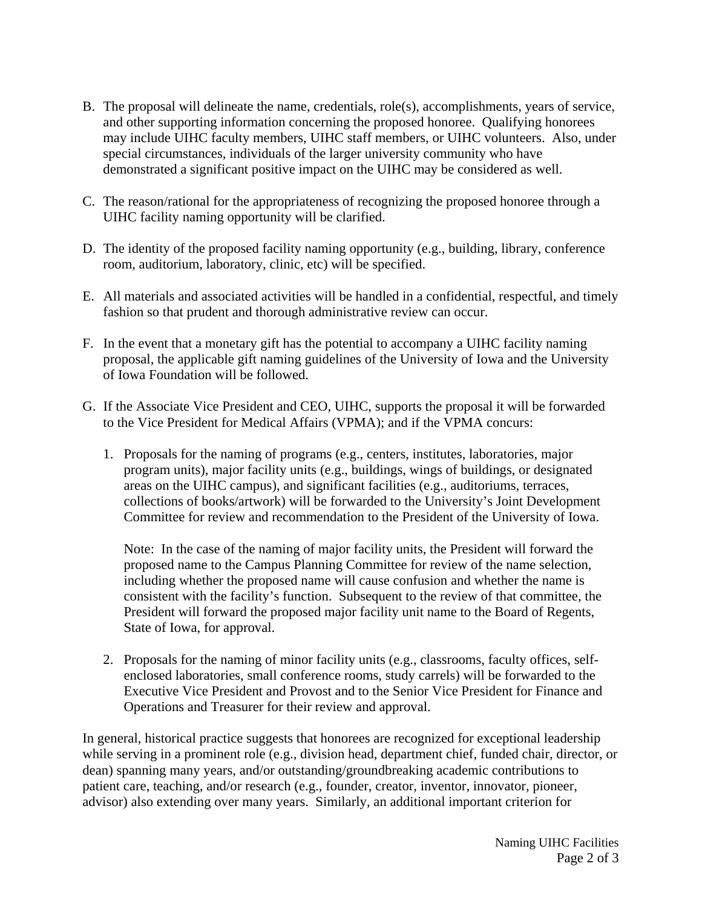- B. The proposal will delineate the name, credentials, role(s), accomplishments, years of service, and other supporting information concerning the proposed honoree. Qualifying honorees may include UIHC faculty members, UIHC staff members, or UIHC volunteers. Also, under special circumstances, individuals of the larger university community who have demonstrated a significant positive impact on the UIHC may be considered as well.
- C. The reason/rational for the appropriateness of recognizing the proposed honoree through a UIHC facility naming opportunity will be clarified.
- D. The identity of the proposed facility naming opportunity (e.g., building, library, conference room, auditorium, laboratory, clinic, etc) will be specified.
- E. All materials and associated activities will be handled in a confidential, respectful, and timely fashion so that prudent and thorough administrative review can occur.
- F. In the event that a monetary gift has the potential to accompany a UIHC facility naming proposal, the applicable gift naming guidelines of the University of Iowa and the University of Iowa Foundation will be followed.
- G. If the Associate Vice President and CEO, UIHC, supports the proposal it will be forwarded to the Vice President for Medical Affairs (VPMA); and if the VPMA concurs:
	- 1. Proposals for the naming of programs (e.g., centers, institutes, laboratories, major program units), major facility units (e.g., buildings, wings of buildings, or designated areas on the UIHC campus), and significant facilities (e.g., auditoriums, terraces, collections of books/artwork) will be forwarded to the University's Joint Development Committee for review and recommendation to the President of the University of Iowa.

 Note: In the case of the naming of major facility units, the President will forward the proposed name to the Campus Planning Committee for review of the name selection, including whether the proposed name will cause confusion and whether the name is consistent with the facility's function. Subsequent to the review of that committee, the President will forward the proposed major facility unit name to the Board of Regents, State of Iowa, for approval.

 2. Proposals for the naming of minor facility units (e.g., classrooms, faculty offices, selfenclosed laboratories, small conference rooms, study carrels) will be forwarded to the Executive Vice President and Provost and to the Senior Vice President for Finance and Operations and Treasurer for their review and approval.

In general, historical practice suggests that honorees are recognized for exceptional leadership while serving in a prominent role (e.g., division head, department chief, funded chair, director, or dean) spanning many years, and/or outstanding/groundbreaking academic contributions to patient care, teaching, and/or research (e.g., founder, creator, inventor, innovator, pioneer, advisor) also extending over many years. Similarly, an additional important criterion for